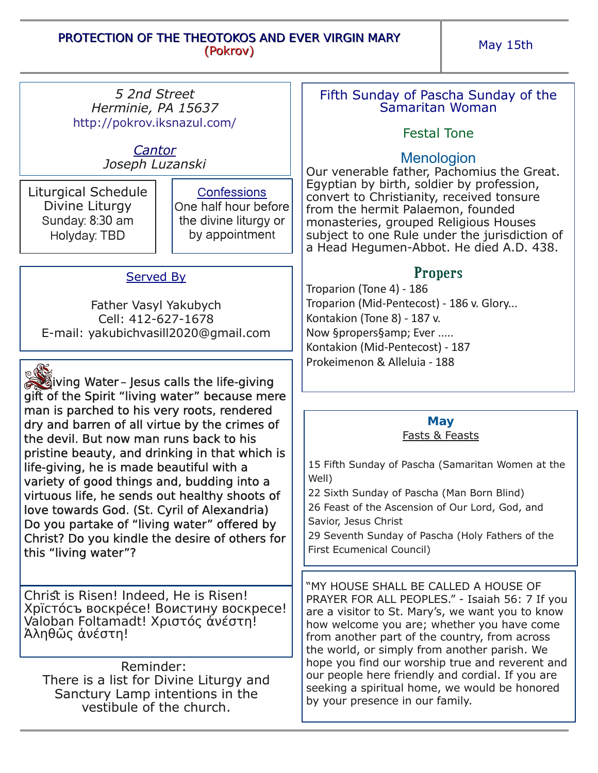May 15th

*5 2nd Street Herminie, PA 15637* http://pokrov.iksnazul.com/

> *Cantor Joseph Luzanski*

Liturgical Schedule Divine Liturgy Sunday: 8:30 am Holyday: TBD

**Confessions** One half hour before the divine liturgy or by appointment

# Served By

Father Vasyl Yakubych Cell: 412-627-1678 Email: yakubichvasill2020@gmail.com

**Living Water-Jesus calls the life-giving** gift of the Spirit "living water" because mere man is parched to his very roots, rendered dry and barren of all virtue by the crimes of the devil. But now man runs back to his pristine beauty, and drinking in that which is life-giving, he is made beautiful with a variety of good things and, budding into a virtuous life, he sends out healthy shoots of love towards God. (St. Cyril of Alexandria) Do you partake of "living water" offered by Christ? Do you kindle the desire of others for this "living water"?

Christ is Risen! Indeed, He is Risen! Хрїстóсъ воскрéсе! Воистину воскресе! Valoban Foltamadt! Χριστός ἀνέστη! Ἀληθῶς ἀνέστη!

Reminder: There is a list for Divine Liturgy and Sanctury Lamp intentions in the vestibule of the church.

### Fifth Sunday of Pascha Sunday of the Samaritan Woman

# Festal Tone

### **Menologion**

Our venerable father, Pachomius the Great. Egyptian by birth, soldier by profession, convert to Christianity, received tonsure from the hermit Palaemon, founded monasteries, grouped Religious Houses subject to one Rule under the jurisdiction of a Head Hegumen-Abbot. He died A.D. 438.

# **Propers**

Troparion (Tone 4) ‐ 186 Troparion (Mid‐Pentecost) ‐ 186 v. Glory... Kontakion (Tone 8) ‐ 187 v. Now §propers§amp; Ever ..... Kontakion (Mid‐Pentecost) ‐ 187 Prokeimenon & Alleluia ‐ 188

# **May**

Fasts & Feasts

15 Fifth Sunday of Pascha (Samaritan Women at the Well) 22 Sixth Sunday of Pascha (Man Born Blind) 26 Feast of the Ascension of Our Lord, God, and Savior, Jesus Christ 29 Seventh Sunday of Pascha (Holy Fathers of the First Ecumenical Council) "MY HOUSE SHALL BE CALLED A HOUSE OF

PRAYER FOR ALL PEOPLES." - Isaiah 56: 7 If you are a visitor to St. Mary's, we want you to know how welcome you are; whether you have come from another part of the country, from across the world, or simply from another parish. We hope you find our worship true and reverent and our people here friendly and cordial. If you are seeking a spiritual home, we would be honored by your presence in our family.